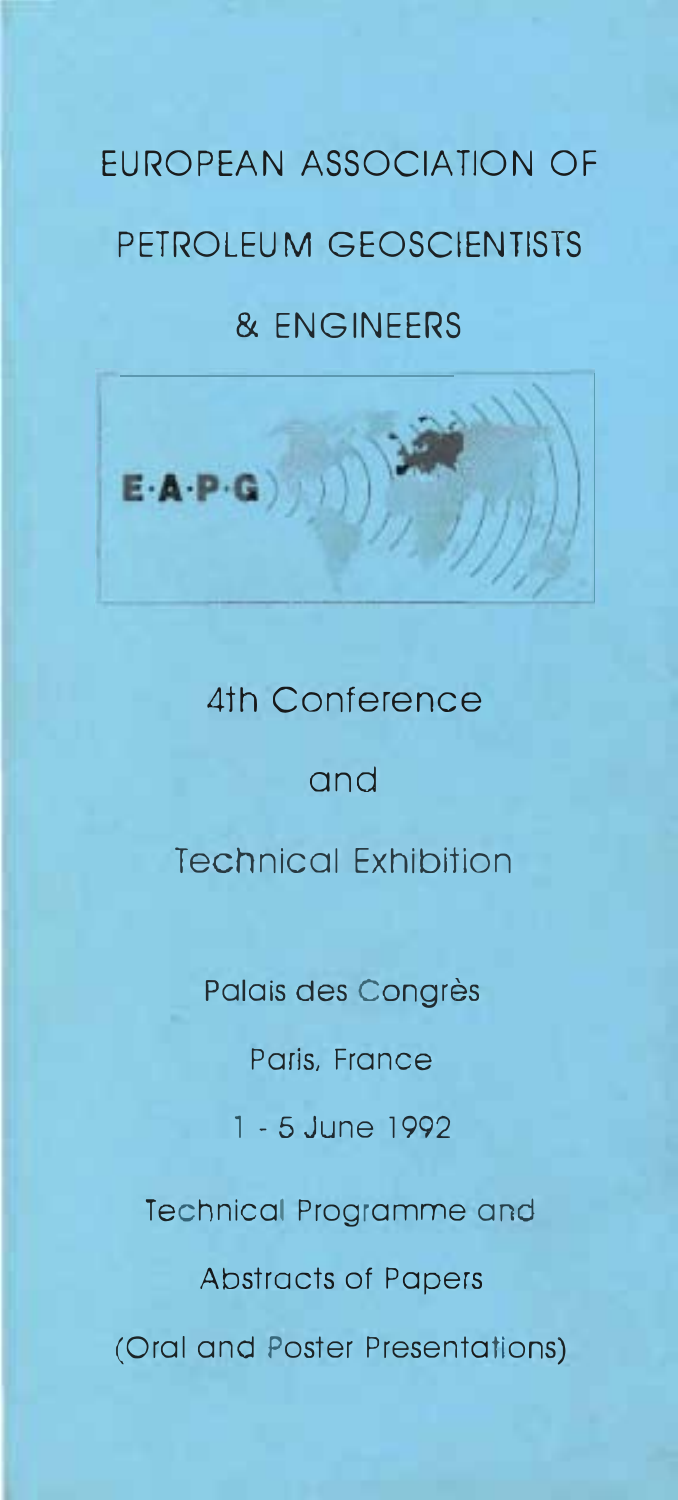# EUROPEAN ASSOCIATION OF PETROLEUM GEOSCIENTISTS & ENGINEERS



# 4th Conference

# and

# Technical Exhibition

Palais des Congrès

Paris, France

1 - 5 June 1992

Technical Programme and

Abstracts of Papers (Oral and Poster Presentations)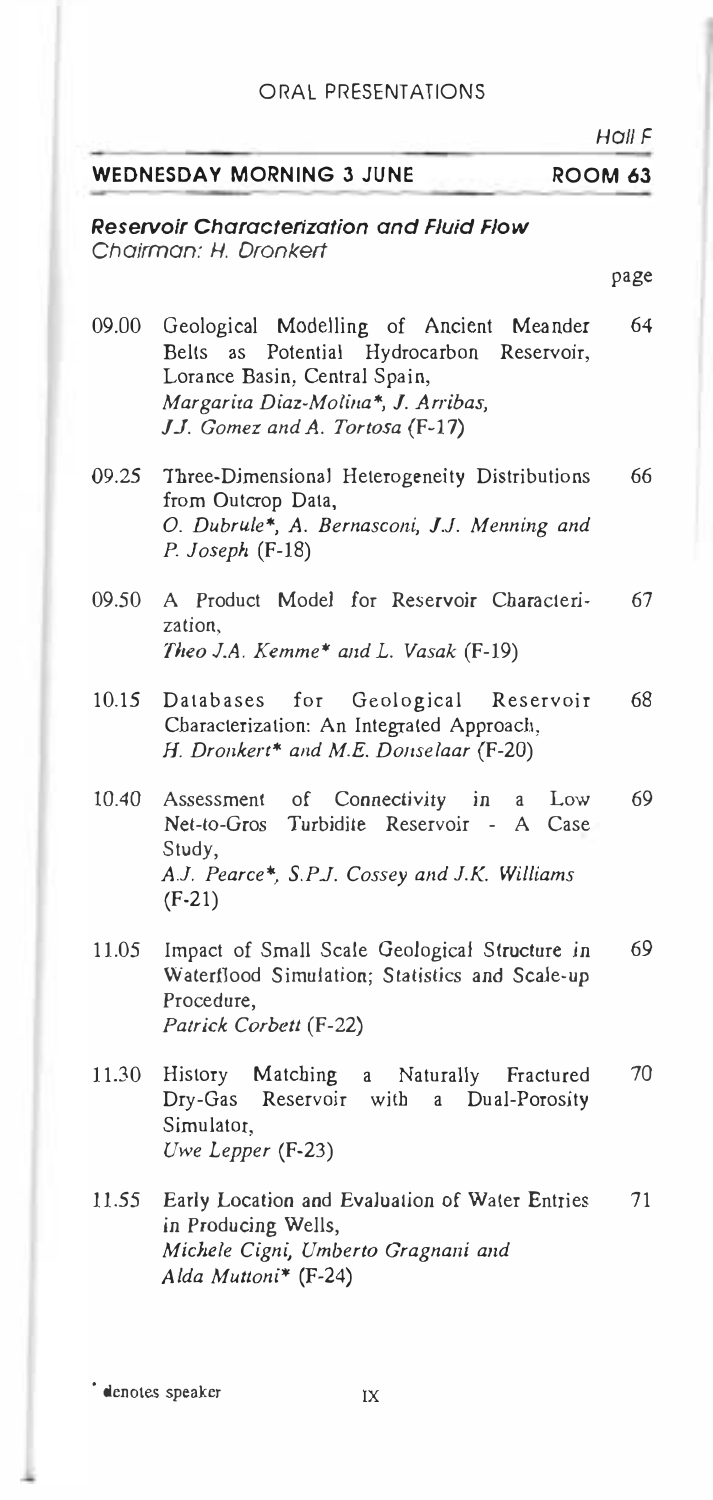## WEDNESDAY MORNING 3 JUNE ROOM 63

## Reservoir Characterization and Fluid Flow Chairman: H. Oronkert

- 09.00 Geological Modelling of Ancient Meander 64 Belts as Potential Hydrocarbon Reservoir, Lorance Basin, Central Spain, Margarita Diaz-Molina\*, J. Arribas, J.J. Gomez and A. Tortosa (F-17)
- 09.25 Three-Dimensional Heterogeneity Distributions 66 from Outcrop Data, O. Dubrule\*, A. Bernasconi, J.J. Menning and P. Joseph (F-18)
- $09.50$  A Product Model for Reservoir Characteri $\sim 67$ zation, Theo J.A. Kemme\* and L. Vasak (F-19)
- 10.15 Databases for Geological Reservoir 68 Characterization: An Integrated Approach, H. Dronkert\* and M.E. Donselaar (F-20)
- 10.40 Assessment of Connectivity in a Low 69 Net-to-Gros Turbidite Reservoir - A Case Study, A.l. Pearce\*, S.PJ. Cossey and 1.K. Williams (F-21)
- 11.05 Impact of Small Scale Geological Structure in 69 Waterflood Simulation; Statistics and Scale-up Procedure, Patrick Corbett (F-22)
- 11.30 History Matching a Naturally Fractured Dry-Gas Reservoir with a Dual-Porosjty Simulator, Uwe Lepper (F-23) 70
- 11.55 Early Location and Evaluation of Water Entries 71 in Producing Wells, Michele Cigni, Umberto Gragnani and Alda Muttoni\*  $(F-24)$

• denotes speaker IX